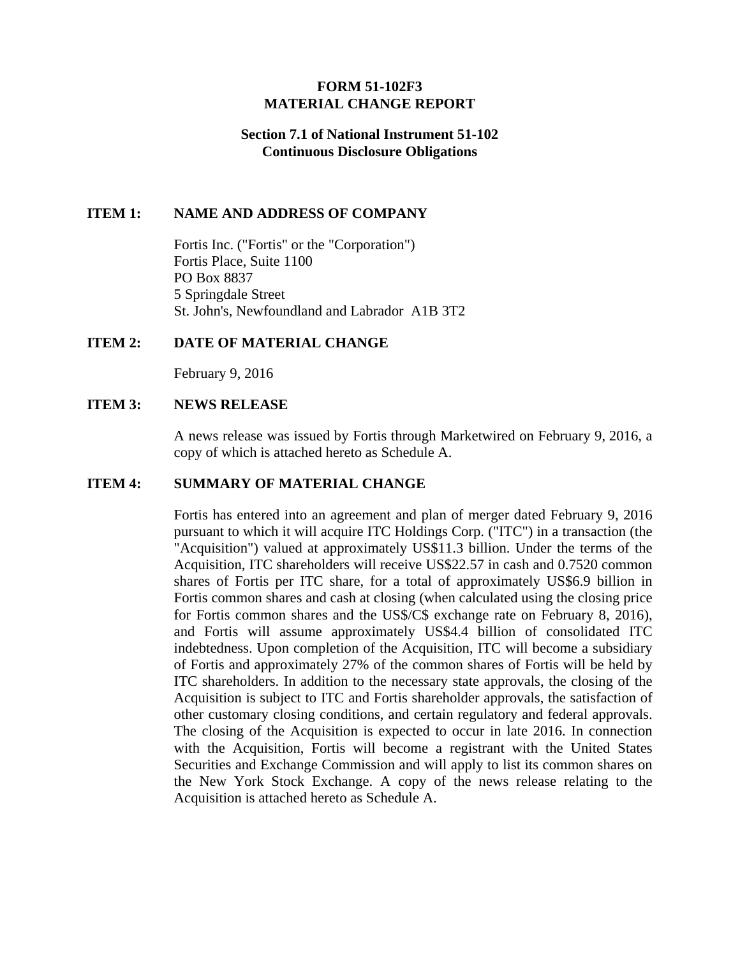## **FORM 51-102F3 MATERIAL CHANGE REPORT**

### **Section 7.1 of National Instrument 51-102 Continuous Disclosure Obligations**

#### **ITEM 1: NAME AND ADDRESS OF COMPANY**

Fortis Inc. ("Fortis" or the "Corporation") Fortis Place, Suite 1100 PO Box 8837 5 Springdale Street St. John's, Newfoundland and Labrador A1B 3T2

#### **ITEM 2: DATE OF MATERIAL CHANGE**

February 9, 2016

#### **ITEM 3: NEWS RELEASE**

A news release was issued by Fortis through Marketwired on February 9, 2016, a copy of which is attached hereto as Schedule A.

#### **ITEM 4: SUMMARY OF MATERIAL CHANGE**

Fortis has entered into an agreement and plan of merger dated February 9, 2016 pursuant to which it will acquire ITC Holdings Corp. ("ITC") in a transaction (the "Acquisition") valued at approximately US\$11.3 billion. Under the terms of the Acquisition, ITC shareholders will receive US\$22.57 in cash and 0.7520 common shares of Fortis per ITC share, for a total of approximately US\$6.9 billion in Fortis common shares and cash at closing (when calculated using the closing price for Fortis common shares and the US\$/C\$ exchange rate on February 8, 2016), and Fortis will assume approximately US\$4.4 billion of consolidated ITC indebtedness. Upon completion of the Acquisition, ITC will become a subsidiary of Fortis and approximately 27% of the common shares of Fortis will be held by ITC shareholders. In addition to the necessary state approvals, the closing of the Acquisition is subject to ITC and Fortis shareholder approvals, the satisfaction of other customary closing conditions, and certain regulatory and federal approvals. The closing of the Acquisition is expected to occur in late 2016. In connection with the Acquisition, Fortis will become a registrant with the United States Securities and Exchange Commission and will apply to list its common shares on the New York Stock Exchange. A copy of the news release relating to the Acquisition is attached hereto as Schedule A.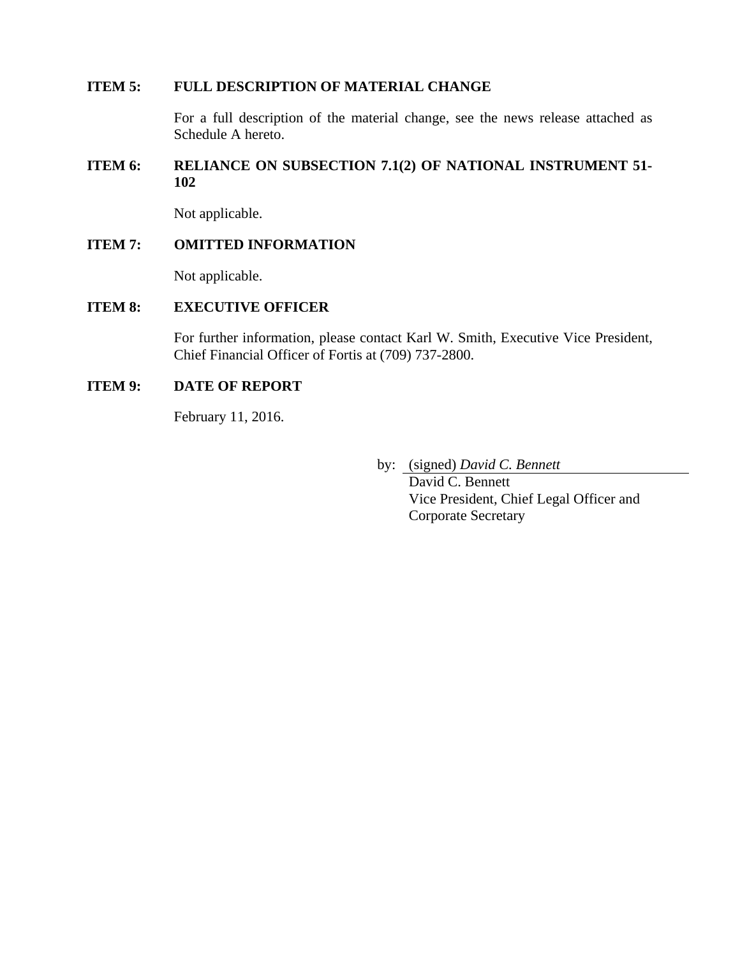### **ITEM 5: FULL DESCRIPTION OF MATERIAL CHANGE**

For a full description of the material change, see the news release attached as Schedule A hereto.

## **ITEM 6: RELIANCE ON SUBSECTION 7.1(2) OF NATIONAL INSTRUMENT 51- 102**

Not applicable.

#### **ITEM 7: OMITTED INFORMATION**

Not applicable.

## **ITEM 8: EXECUTIVE OFFICER**

For further information, please contact Karl W. Smith, Executive Vice President, Chief Financial Officer of Fortis at (709) 737-2800.

## **ITEM 9: DATE OF REPORT**

February 11, 2016.

by: (signed) *David C. Bennett* 

 David C. Bennett Vice President, Chief Legal Officer and Corporate Secretary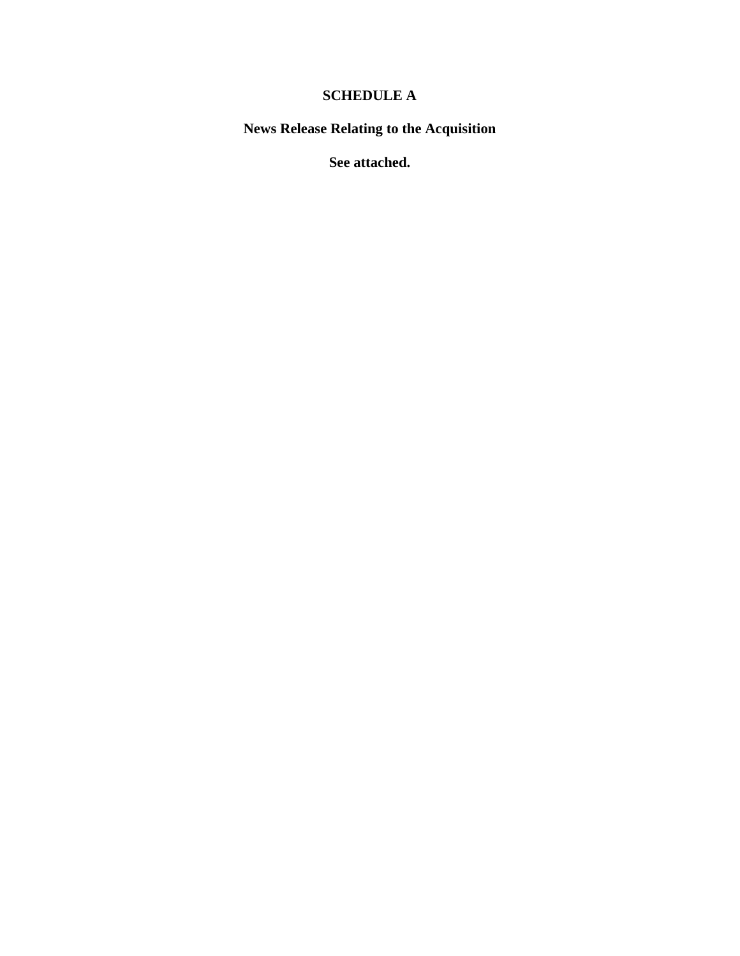# **SCHEDULE A**

**News Release Relating to the Acquisition** 

**See attached.**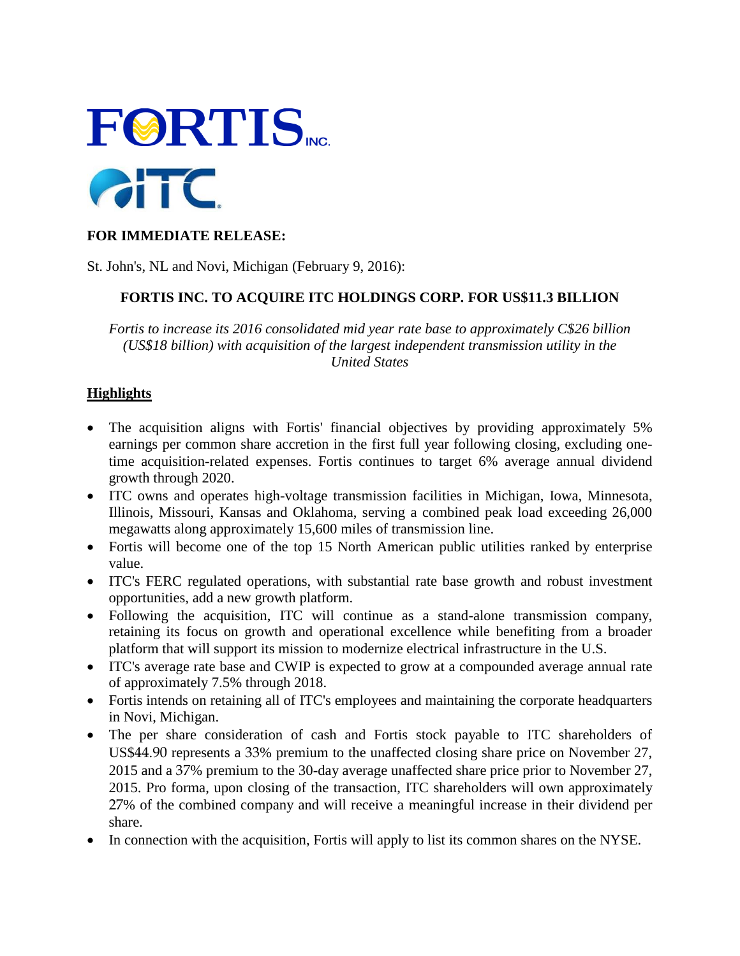

## **FOR IMMEDIATE RELEASE:**

St. John's, NL and Novi, Michigan (February 9, 2016):

## **FORTIS INC. TO ACQUIRE ITC HOLDINGS CORP. FOR US\$11.3 BILLION**

*Fortis to increase its 2016 consolidated mid year rate base to approximately C\$26 billion (US\$18 billion) with acquisition of the largest independent transmission utility in the United States* 

## **Highlights**

- The acquisition aligns with Fortis' financial objectives by providing approximately 5% earnings per common share accretion in the first full year following closing, excluding onetime acquisition-related expenses. Fortis continues to target 6% average annual dividend growth through 2020.
- ITC owns and operates high-voltage transmission facilities in Michigan, Iowa, Minnesota, Illinois, Missouri, Kansas and Oklahoma, serving a combined peak load exceeding 26,000 megawatts along approximately 15,600 miles of transmission line.
- Fortis will become one of the top 15 North American public utilities ranked by enterprise value.
- ITC's FERC regulated operations, with substantial rate base growth and robust investment opportunities, add a new growth platform.
- Following the acquisition, ITC will continue as a stand-alone transmission company, retaining its focus on growth and operational excellence while benefiting from a broader platform that will support its mission to modernize electrical infrastructure in the U.S.
- ITC's average rate base and CWIP is expected to grow at a compounded average annual rate of approximately 7.5% through 2018.
- Fortis intends on retaining all of ITC's employees and maintaining the corporate headquarters in Novi, Michigan.
- The per share consideration of cash and Fortis stock payable to ITC shareholders of US\$44.90 represents a 33% premium to the unaffected closing share price on November 27, 2015 and a 37% premium to the 30-day average unaffected share price prior to November 27, 2015. Pro forma, upon closing of the transaction, ITC shareholders will own approximately 27% of the combined company and will receive a meaningful increase in their dividend per share.
- In connection with the acquisition, Fortis will apply to list its common shares on the NYSE.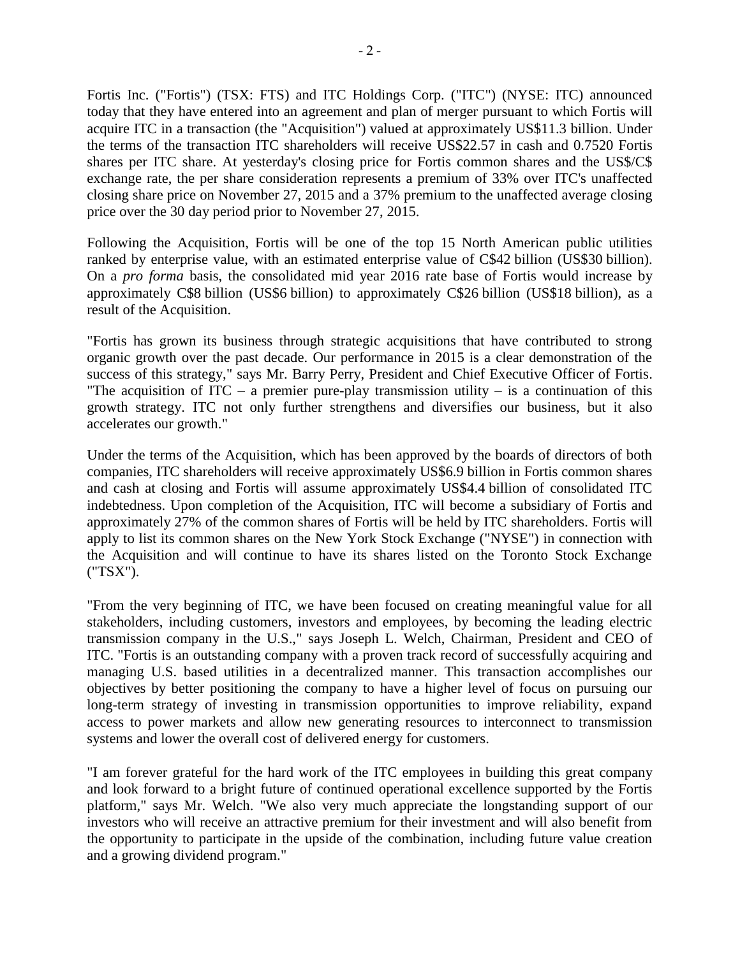Fortis Inc. ("Fortis") (TSX: FTS) and ITC Holdings Corp. ("ITC") (NYSE: ITC) announced today that they have entered into an agreement and plan of merger pursuant to which Fortis will acquire ITC in a transaction (the "Acquisition") valued at approximately US\$11.3 billion. Under the terms of the transaction ITC shareholders will receive US\$22.57 in cash and 0.7520 Fortis shares per ITC share. At yesterday's closing price for Fortis common shares and the US\$/C\$ exchange rate, the per share consideration represents a premium of 33% over ITC's unaffected closing share price on November 27, 2015 and a 37% premium to the unaffected average closing price over the 30 day period prior to November 27, 2015.

Following the Acquisition, Fortis will be one of the top 15 North American public utilities ranked by enterprise value, with an estimated enterprise value of C\$42 billion (US\$30 billion). On a *pro forma* basis, the consolidated mid year 2016 rate base of Fortis would increase by approximately C\$8 billion (US\$6 billion) to approximately C\$26 billion (US\$18 billion), as a result of the Acquisition.

"Fortis has grown its business through strategic acquisitions that have contributed to strong organic growth over the past decade. Our performance in 2015 is a clear demonstration of the success of this strategy," says Mr. Barry Perry, President and Chief Executive Officer of Fortis. "The acquisition of  $ITC - a$  premier pure-play transmission utility – is a continuation of this growth strategy. ITC not only further strengthens and diversifies our business, but it also accelerates our growth."

Under the terms of the Acquisition, which has been approved by the boards of directors of both companies, ITC shareholders will receive approximately US\$6.9 billion in Fortis common shares and cash at closing and Fortis will assume approximately US\$4.4 billion of consolidated ITC indebtedness. Upon completion of the Acquisition, ITC will become a subsidiary of Fortis and approximately 27% of the common shares of Fortis will be held by ITC shareholders. Fortis will apply to list its common shares on the New York Stock Exchange ("NYSE") in connection with the Acquisition and will continue to have its shares listed on the Toronto Stock Exchange ("TSX").

"From the very beginning of ITC, we have been focused on creating meaningful value for all stakeholders, including customers, investors and employees, by becoming the leading electric transmission company in the U.S.," says Joseph L. Welch, Chairman, President and CEO of ITC. "Fortis is an outstanding company with a proven track record of successfully acquiring and managing U.S. based utilities in a decentralized manner. This transaction accomplishes our objectives by better positioning the company to have a higher level of focus on pursuing our long-term strategy of investing in transmission opportunities to improve reliability, expand access to power markets and allow new generating resources to interconnect to transmission systems and lower the overall cost of delivered energy for customers.

"I am forever grateful for the hard work of the ITC employees in building this great company and look forward to a bright future of continued operational excellence supported by the Fortis platform," says Mr. Welch. "We also very much appreciate the longstanding support of our investors who will receive an attractive premium for their investment and will also benefit from the opportunity to participate in the upside of the combination, including future value creation and a growing dividend program."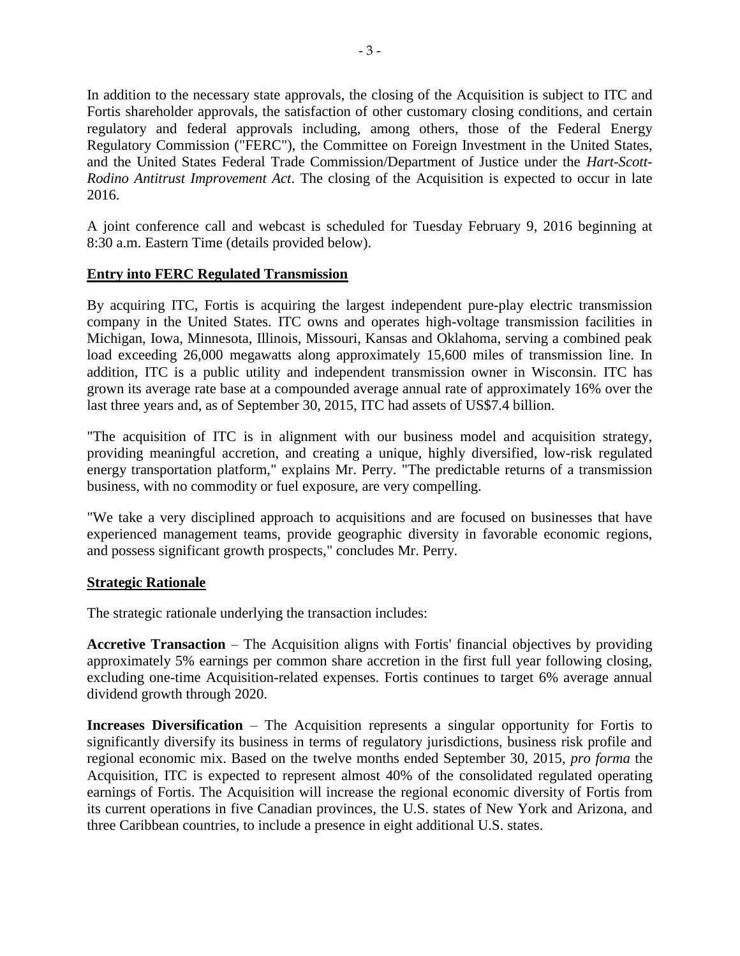In addition to the necessary state approvals, the closing of the Acquisition is subject to ITC and Fortis shareholder approvals, the satisfaction of other customary closing conditions, and certain regulatory and federal approvals including, among others, those of the Federal Energy Regulatory Commission ("FERC"), the Committee on Foreign Investment in the United States, and the United States Federal Trade Commission/Department of Justice under the *Hart-Scott-Rodino Antitrust Improvement Act*. The closing of the Acquisition is expected to occur in late 2016.

A joint conference call and webcast is scheduled for Tuesday February 9, 2016 beginning at 8:30 a.m. Eastern Time (details provided below).

## **Entry into FERC Regulated Transmission**

By acquiring ITC, Fortis is acquiring the largest independent pure-play electric transmission company in the United States. ITC owns and operates high-voltage transmission facilities in Michigan, Iowa, Minnesota, Illinois, Missouri, Kansas and Oklahoma, serving a combined peak load exceeding 26,000 megawatts along approximately 15,600 miles of transmission line. In addition, ITC is a public utility and independent transmission owner in Wisconsin. ITC has grown its average rate base at a compounded average annual rate of approximately 16% over the last three years and, as of September 30, 2015, ITC had assets of US\$7.4 billion.

"The acquisition of ITC is in alignment with our business model and acquisition strategy, providing meaningful accretion, and creating a unique, highly diversified, low-risk regulated energy transportation platform," explains Mr. Perry. "The predictable returns of a transmission business, with no commodity or fuel exposure, are very compelling.

"We take a very disciplined approach to acquisitions and are focused on businesses that have experienced management teams, provide geographic diversity in favorable economic regions, and possess significant growth prospects," concludes Mr. Perry.

## **Strategic Rationale**

The strategic rationale underlying the transaction includes:

**Accretive Transaction** – The Acquisition aligns with Fortis' financial objectives by providing approximately 5% earnings per common share accretion in the first full year following closing, excluding one-time Acquisition-related expenses. Fortis continues to target 6% average annual dividend growth through 2020.

**Increases Diversification** – The Acquisition represents a singular opportunity for Fortis to significantly diversify its business in terms of regulatory jurisdictions, business risk profile and regional economic mix. Based on the twelve months ended September 30, 2015, *pro forma* the Acquisition, ITC is expected to represent almost 40% of the consolidated regulated operating earnings of Fortis. The Acquisition will increase the regional economic diversity of Fortis from its current operations in five Canadian provinces, the U.S. states of New York and Arizona, and three Caribbean countries, to include a presence in eight additional U.S. states.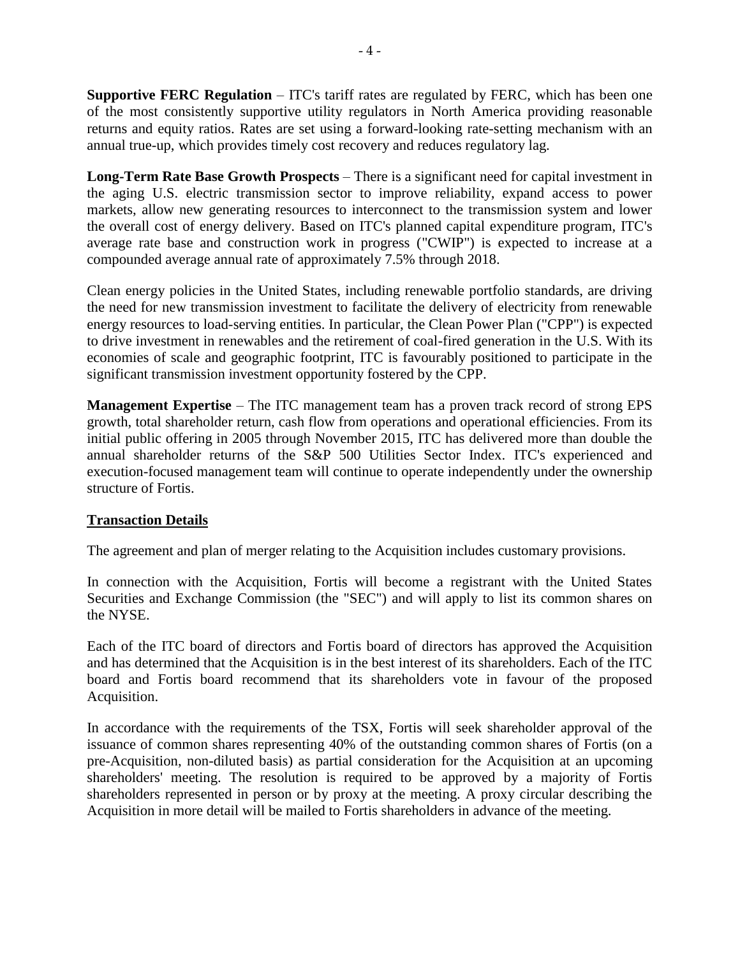**Supportive FERC Regulation** – ITC's tariff rates are regulated by FERC, which has been one of the most consistently supportive utility regulators in North America providing reasonable returns and equity ratios. Rates are set using a forward-looking rate-setting mechanism with an annual true-up, which provides timely cost recovery and reduces regulatory lag.

**Long-Term Rate Base Growth Prospects** – There is a significant need for capital investment in the aging U.S. electric transmission sector to improve reliability, expand access to power markets, allow new generating resources to interconnect to the transmission system and lower the overall cost of energy delivery. Based on ITC's planned capital expenditure program, ITC's average rate base and construction work in progress ("CWIP") is expected to increase at a compounded average annual rate of approximately 7.5% through 2018.

Clean energy policies in the United States, including renewable portfolio standards, are driving the need for new transmission investment to facilitate the delivery of electricity from renewable energy resources to load-serving entities. In particular, the Clean Power Plan ("CPP") is expected to drive investment in renewables and the retirement of coal-fired generation in the U.S. With its economies of scale and geographic footprint, ITC is favourably positioned to participate in the significant transmission investment opportunity fostered by the CPP.

**Management Expertise** – The ITC management team has a proven track record of strong EPS growth, total shareholder return, cash flow from operations and operational efficiencies. From its initial public offering in 2005 through November 2015, ITC has delivered more than double the annual shareholder returns of the S&P 500 Utilities Sector Index. ITC's experienced and execution-focused management team will continue to operate independently under the ownership structure of Fortis.

## **Transaction Details**

The agreement and plan of merger relating to the Acquisition includes customary provisions.

In connection with the Acquisition, Fortis will become a registrant with the United States Securities and Exchange Commission (the "SEC") and will apply to list its common shares on the NYSE.

Each of the ITC board of directors and Fortis board of directors has approved the Acquisition and has determined that the Acquisition is in the best interest of its shareholders. Each of the ITC board and Fortis board recommend that its shareholders vote in favour of the proposed Acquisition.

In accordance with the requirements of the TSX, Fortis will seek shareholder approval of the issuance of common shares representing 40% of the outstanding common shares of Fortis (on a pre-Acquisition, non-diluted basis) as partial consideration for the Acquisition at an upcoming shareholders' meeting. The resolution is required to be approved by a majority of Fortis shareholders represented in person or by proxy at the meeting. A proxy circular describing the Acquisition in more detail will be mailed to Fortis shareholders in advance of the meeting.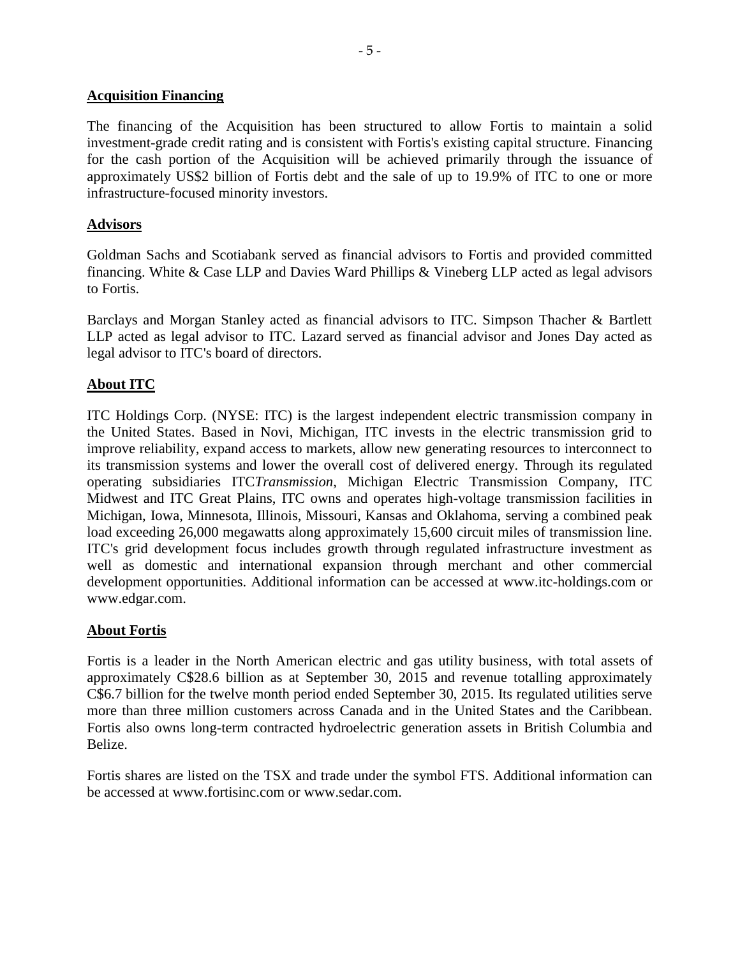#### **Acquisition Financing**

The financing of the Acquisition has been structured to allow Fortis to maintain a solid investment-grade credit rating and is consistent with Fortis's existing capital structure. Financing for the cash portion of the Acquisition will be achieved primarily through the issuance of approximately US\$2 billion of Fortis debt and the sale of up to 19.9% of ITC to one or more infrastructure-focused minority investors.

## **Advisors**

Goldman Sachs and Scotiabank served as financial advisors to Fortis and provided committed financing. White & Case LLP and Davies Ward Phillips & Vineberg LLP acted as legal advisors to Fortis.

Barclays and Morgan Stanley acted as financial advisors to ITC. Simpson Thacher & Bartlett LLP acted as legal advisor to ITC. Lazard served as financial advisor and Jones Day acted as legal advisor to ITC's board of directors.

## **About ITC**

ITC Holdings Corp. (NYSE: ITC) is the largest independent electric transmission company in the United States. Based in Novi, Michigan, ITC invests in the electric transmission grid to improve reliability, expand access to markets, allow new generating resources to interconnect to its transmission systems and lower the overall cost of delivered energy. Through its regulated operating subsidiaries ITC*Transmission*, Michigan Electric Transmission Company, ITC Midwest and ITC Great Plains, ITC owns and operates high-voltage transmission facilities in Michigan, Iowa, Minnesota, Illinois, Missouri, Kansas and Oklahoma, serving a combined peak load exceeding 26,000 megawatts along approximately 15,600 circuit miles of transmission line. ITC's grid development focus includes growth through regulated infrastructure investment as well as domestic and international expansion through merchant and other commercial development opportunities. Additional information can be accessed at www.itc-holdings.com or www.edgar.com.

## **About Fortis**

Fortis is a leader in the North American electric and gas utility business, with total assets of approximately C\$28.6 billion as at September 30, 2015 and revenue totalling approximately C\$6.7 billion for the twelve month period ended September 30, 2015. Its regulated utilities serve more than three million customers across Canada and in the United States and the Caribbean. Fortis also owns long-term contracted hydroelectric generation assets in British Columbia and Belize.

Fortis shares are listed on the TSX and trade under the symbol FTS. Additional information can be accessed at www.fortisinc.com or www.sedar.com.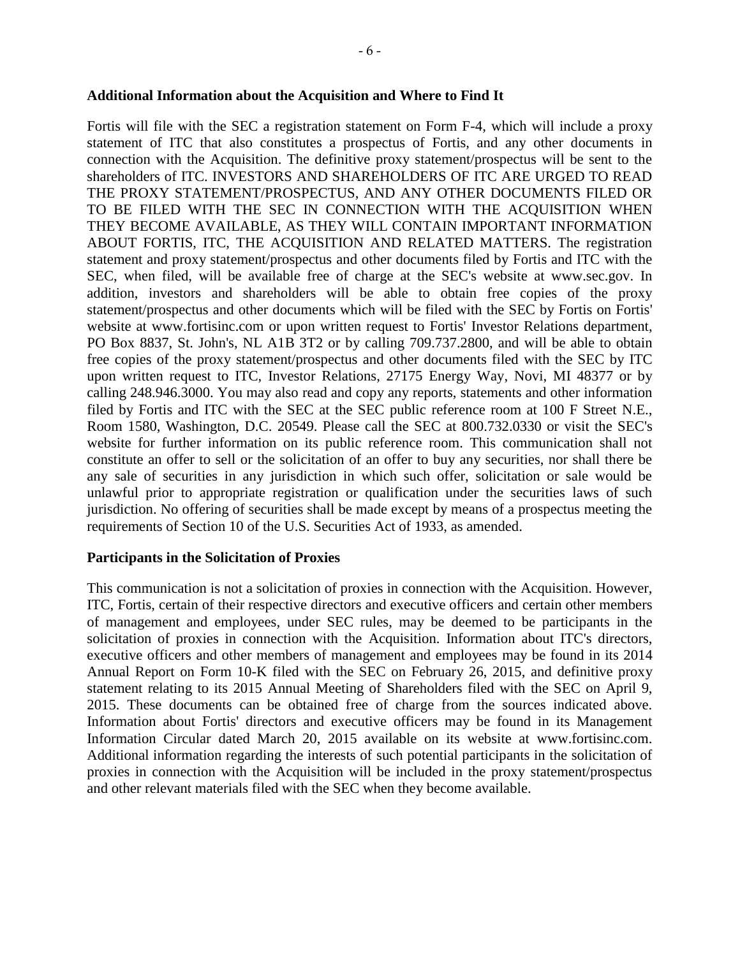#### **Additional Information about the Acquisition and Where to Find It**

Fortis will file with the SEC a registration statement on Form F-4, which will include a proxy statement of ITC that also constitutes a prospectus of Fortis, and any other documents in connection with the Acquisition. The definitive proxy statement/prospectus will be sent to the shareholders of ITC. INVESTORS AND SHAREHOLDERS OF ITC ARE URGED TO READ THE PROXY STATEMENT/PROSPECTUS, AND ANY OTHER DOCUMENTS FILED OR TO BE FILED WITH THE SEC IN CONNECTION WITH THE ACQUISITION WHEN THEY BECOME AVAILABLE, AS THEY WILL CONTAIN IMPORTANT INFORMATION ABOUT FORTIS, ITC, THE ACQUISITION AND RELATED MATTERS. The registration statement and proxy statement/prospectus and other documents filed by Fortis and ITC with the SEC, when filed, will be available free of charge at the SEC's website at www.sec.gov. In addition, investors and shareholders will be able to obtain free copies of the proxy statement/prospectus and other documents which will be filed with the SEC by Fortis on Fortis' website at www.fortisinc.com or upon written request to Fortis' Investor Relations department, PO Box 8837, St. John's, NL A1B 3T2 or by calling 709.737.2800, and will be able to obtain free copies of the proxy statement/prospectus and other documents filed with the SEC by ITC upon written request to ITC, Investor Relations, 27175 Energy Way, Novi, MI 48377 or by calling 248.946.3000. You may also read and copy any reports, statements and other information filed by Fortis and ITC with the SEC at the SEC public reference room at 100 F Street N.E., Room 1580, Washington, D.C. 20549. Please call the SEC at 800.732.0330 or visit the SEC's website for further information on its public reference room. This communication shall not constitute an offer to sell or the solicitation of an offer to buy any securities, nor shall there be any sale of securities in any jurisdiction in which such offer, solicitation or sale would be unlawful prior to appropriate registration or qualification under the securities laws of such jurisdiction. No offering of securities shall be made except by means of a prospectus meeting the requirements of Section 10 of the U.S. Securities Act of 1933, as amended.

## **Participants in the Solicitation of Proxies**

This communication is not a solicitation of proxies in connection with the Acquisition. However, ITC, Fortis, certain of their respective directors and executive officers and certain other members of management and employees, under SEC rules, may be deemed to be participants in the solicitation of proxies in connection with the Acquisition. Information about ITC's directors, executive officers and other members of management and employees may be found in its 2014 Annual Report on Form 10-K filed with the SEC on February 26, 2015, and definitive proxy statement relating to its 2015 Annual Meeting of Shareholders filed with the SEC on April 9, 2015. These documents can be obtained free of charge from the sources indicated above. Information about Fortis' directors and executive officers may be found in its Management Information Circular dated March 20, 2015 available on its website at www.fortisinc.com. Additional information regarding the interests of such potential participants in the solicitation of proxies in connection with the Acquisition will be included in the proxy statement/prospectus and other relevant materials filed with the SEC when they become available.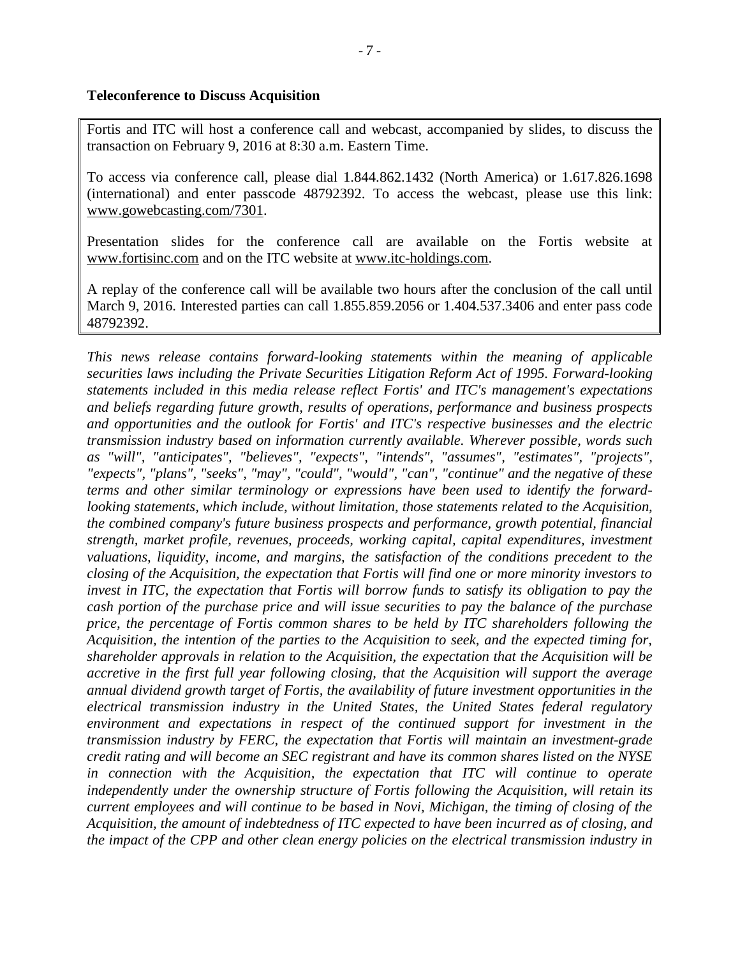## **Teleconference to Discuss Acquisition**

Fortis and ITC will host a conference call and webcast, accompanied by slides, to discuss the transaction on February 9, 2016 at 8:30 a.m. Eastern Time.

To access via conference call, please dial 1.844.862.1432 (North America) or 1.617.826.1698 (international) and enter passcode 48792392. To access the webcast, please use this link: www.gowebcasting.com/7301.

Presentation slides for the conference call are available on the Fortis website at www.fortisinc.com and on the ITC website at www.itc-holdings.com.

A replay of the conference call will be available two hours after the conclusion of the call until March 9, 2016. Interested parties can call 1.855.859.2056 or 1.404.537.3406 and enter pass code 48792392.

*This news release contains forward-looking statements within the meaning of applicable securities laws including the Private Securities Litigation Reform Act of 1995. Forward-looking statements included in this media release reflect Fortis' and ITC's management's expectations and beliefs regarding future growth, results of operations, performance and business prospects and opportunities and the outlook for Fortis' and ITC's respective businesses and the electric transmission industry based on information currently available. Wherever possible, words such as "will", "anticipates", "believes", "expects", "intends", "assumes", "estimates", "projects", "expects", "plans", "seeks", "may", "could", "would", "can", "continue" and the negative of these terms and other similar terminology or expressions have been used to identify the forwardlooking statements, which include, without limitation, those statements related to the Acquisition, the combined company's future business prospects and performance, growth potential, financial strength, market profile, revenues, proceeds, working capital, capital expenditures, investment valuations, liquidity, income, and margins, the satisfaction of the conditions precedent to the closing of the Acquisition, the expectation that Fortis will find one or more minority investors to invest in ITC, the expectation that Fortis will borrow funds to satisfy its obligation to pay the cash portion of the purchase price and will issue securities to pay the balance of the purchase price, the percentage of Fortis common shares to be held by ITC shareholders following the Acquisition, the intention of the parties to the Acquisition to seek, and the expected timing for, shareholder approvals in relation to the Acquisition, the expectation that the Acquisition will be accretive in the first full year following closing, that the Acquisition will support the average annual dividend growth target of Fortis, the availability of future investment opportunities in the electrical transmission industry in the United States, the United States federal regulatory environment and expectations in respect of the continued support for investment in the transmission industry by FERC, the expectation that Fortis will maintain an investment-grade credit rating and will become an SEC registrant and have its common shares listed on the NYSE in connection with the Acquisition, the expectation that ITC will continue to operate independently under the ownership structure of Fortis following the Acquisition, will retain its current employees and will continue to be based in Novi, Michigan, the timing of closing of the Acquisition, the amount of indebtedness of ITC expected to have been incurred as of closing, and the impact of the CPP and other clean energy policies on the electrical transmission industry in*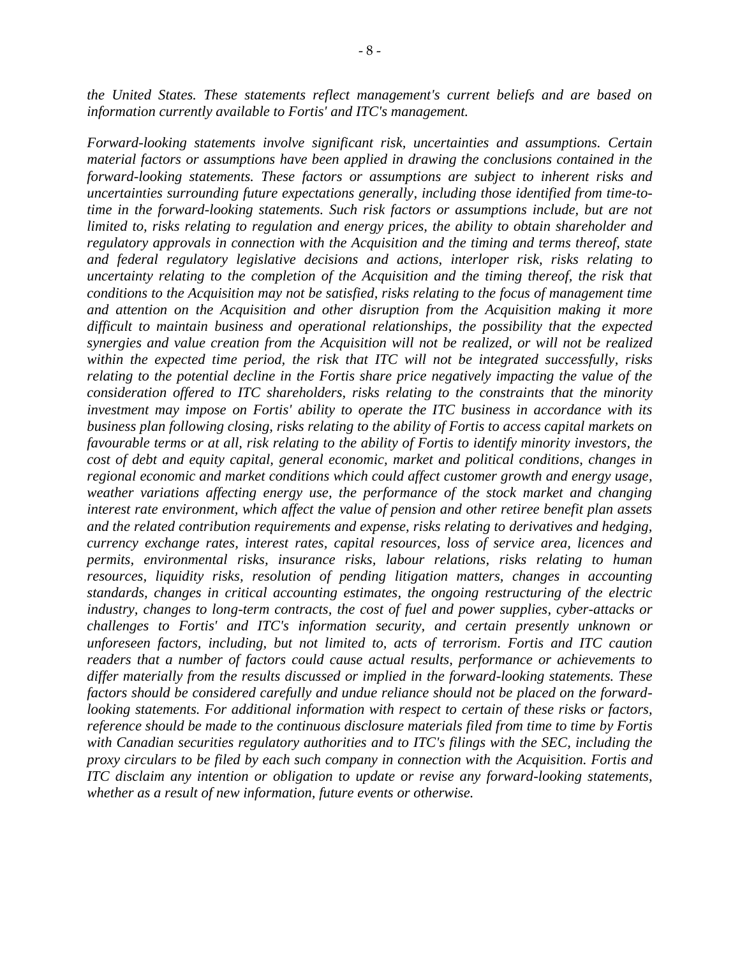*the United States. These statements reflect management's current beliefs and are based on information currently available to Fortis' and ITC's management.* 

*Forward-looking statements involve significant risk, uncertainties and assumptions. Certain material factors or assumptions have been applied in drawing the conclusions contained in the forward-looking statements. These factors or assumptions are subject to inherent risks and uncertainties surrounding future expectations generally, including those identified from time-totime in the forward-looking statements. Such risk factors or assumptions include, but are not limited to, risks relating to regulation and energy prices, the ability to obtain shareholder and regulatory approvals in connection with the Acquisition and the timing and terms thereof, state and federal regulatory legislative decisions and actions, interloper risk, risks relating to uncertainty relating to the completion of the Acquisition and the timing thereof, the risk that conditions to the Acquisition may not be satisfied, risks relating to the focus of management time and attention on the Acquisition and other disruption from the Acquisition making it more difficult to maintain business and operational relationships, the possibility that the expected synergies and value creation from the Acquisition will not be realized, or will not be realized within the expected time period, the risk that ITC will not be integrated successfully, risks relating to the potential decline in the Fortis share price negatively impacting the value of the consideration offered to ITC shareholders, risks relating to the constraints that the minority investment may impose on Fortis' ability to operate the ITC business in accordance with its business plan following closing, risks relating to the ability of Fortis to access capital markets on favourable terms or at all, risk relating to the ability of Fortis to identify minority investors, the cost of debt and equity capital, general economic, market and political conditions, changes in regional economic and market conditions which could affect customer growth and energy usage, weather variations affecting energy use, the performance of the stock market and changing interest rate environment, which affect the value of pension and other retiree benefit plan assets and the related contribution requirements and expense, risks relating to derivatives and hedging, currency exchange rates, interest rates, capital resources, loss of service area, licences and permits, environmental risks, insurance risks, labour relations, risks relating to human resources, liquidity risks, resolution of pending litigation matters, changes in accounting standards, changes in critical accounting estimates, the ongoing restructuring of the electric industry, changes to long-term contracts, the cost of fuel and power supplies, cyber-attacks or challenges to Fortis' and ITC's information security, and certain presently unknown or unforeseen factors, including, but not limited to, acts of terrorism. Fortis and ITC caution readers that a number of factors could cause actual results, performance or achievements to differ materially from the results discussed or implied in the forward-looking statements. These factors should be considered carefully and undue reliance should not be placed on the forwardlooking statements. For additional information with respect to certain of these risks or factors, reference should be made to the continuous disclosure materials filed from time to time by Fortis with Canadian securities regulatory authorities and to ITC's filings with the SEC, including the proxy circulars to be filed by each such company in connection with the Acquisition. Fortis and ITC disclaim any intention or obligation to update or revise any forward-looking statements, whether as a result of new information, future events or otherwise.*